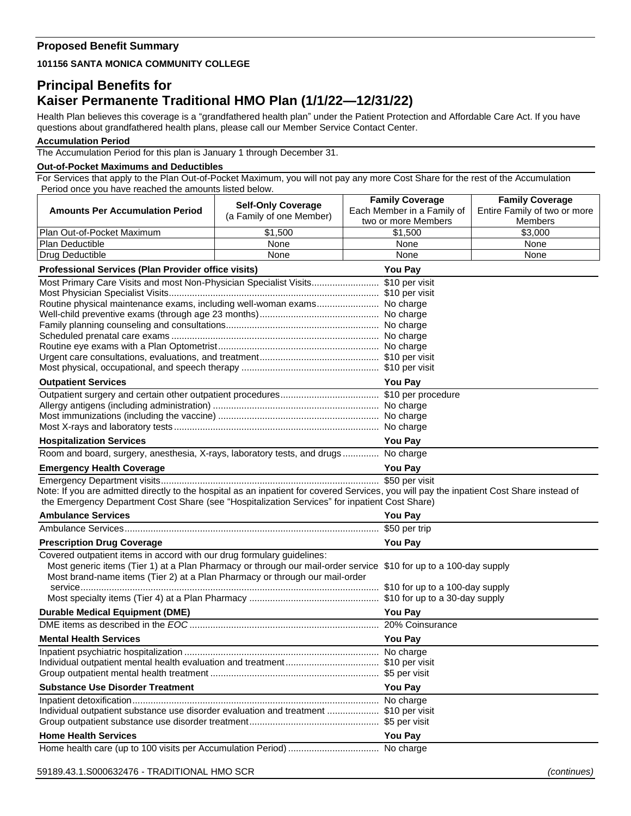# **Proposed Benefit Summary**

### **101156 SANTA MONICA COMMUNITY COLLEGE**

# **Principal Benefits for Kaiser Permanente Traditional HMO Plan (1/1/22—12/31/22)**

Health Plan believes this coverage is a "grandfathered health plan" under the Patient Protection and Affordable Care Act. If you have questions about grandfathered health plans, please call our Member Service Contact Center.

### **Accumulation Period**

The Accumulation Period for this plan is January 1 through December 31.

#### **Out-of-Pocket Maximums and Deductibles**

For Services that apply to the Plan Out-of-Pocket Maximum, you will not pay any more Cost Share for the rest of the Accumulation Period once you have reached the amounts listed below.

|                                                                                                                                                                                                                                            | <b>Self-Only Coverage</b> | <b>Family Coverage</b>     | <b>Family Coverage</b>       |  |
|--------------------------------------------------------------------------------------------------------------------------------------------------------------------------------------------------------------------------------------------|---------------------------|----------------------------|------------------------------|--|
| <b>Amounts Per Accumulation Period</b>                                                                                                                                                                                                     | (a Family of one Member)  | Each Member in a Family of | Entire Family of two or more |  |
|                                                                                                                                                                                                                                            |                           | two or more Members        | <b>Members</b>               |  |
| Plan Out-of-Pocket Maximum<br>Plan Deductible                                                                                                                                                                                              | \$1,500<br>None           | \$1,500<br>None            | \$3,000<br>None              |  |
| Drug Deductible                                                                                                                                                                                                                            | None                      | None                       | None                         |  |
|                                                                                                                                                                                                                                            |                           |                            |                              |  |
| Professional Services (Plan Provider office visits)<br><b>You Pay</b><br>Most Primary Care Visits and most Non-Physician Specialist Visits \$10 per visit                                                                                  |                           |                            |                              |  |
|                                                                                                                                                                                                                                            |                           |                            |                              |  |
| Routine physical maintenance exams, including well-woman exams No charge                                                                                                                                                                   |                           |                            |                              |  |
|                                                                                                                                                                                                                                            |                           |                            |                              |  |
|                                                                                                                                                                                                                                            |                           |                            |                              |  |
|                                                                                                                                                                                                                                            |                           |                            |                              |  |
|                                                                                                                                                                                                                                            |                           |                            |                              |  |
|                                                                                                                                                                                                                                            |                           |                            |                              |  |
| <b>Outpatient Services</b>                                                                                                                                                                                                                 | <b>You Pay</b>            |                            |                              |  |
|                                                                                                                                                                                                                                            |                           |                            |                              |  |
|                                                                                                                                                                                                                                            |                           |                            |                              |  |
|                                                                                                                                                                                                                                            |                           |                            |                              |  |
|                                                                                                                                                                                                                                            |                           |                            |                              |  |
| <b>Hospitalization Services</b>                                                                                                                                                                                                            |                           | <b>You Pay</b>             |                              |  |
| Room and board, surgery, anesthesia, X-rays, laboratory tests, and drugs No charge                                                                                                                                                         |                           |                            |                              |  |
| <b>Emergency Health Coverage</b>                                                                                                                                                                                                           |                           | <b>You Pay</b>             |                              |  |
|                                                                                                                                                                                                                                            |                           |                            |                              |  |
| Note: If you are admitted directly to the hospital as an inpatient for covered Services, you will pay the inpatient Cost Share instead of<br>the Emergency Department Cost Share (see "Hospitalization Services" for inpatient Cost Share) |                           |                            |                              |  |
| <b>Ambulance Services</b>                                                                                                                                                                                                                  | <b>You Pay</b>            |                            |                              |  |
|                                                                                                                                                                                                                                            |                           |                            |                              |  |
| <b>Prescription Drug Coverage</b>                                                                                                                                                                                                          |                           | <b>You Pay</b>             |                              |  |
| Covered outpatient items in accord with our drug formulary guidelines:                                                                                                                                                                     |                           |                            |                              |  |
| Most generic items (Tier 1) at a Plan Pharmacy or through our mail-order service \$10 for up to a 100-day supply                                                                                                                           |                           |                            |                              |  |
| Most brand-name items (Tier 2) at a Plan Pharmacy or through our mail-order                                                                                                                                                                |                           |                            |                              |  |
|                                                                                                                                                                                                                                            |                           |                            |                              |  |
| <b>Durable Medical Equipment (DME)</b>                                                                                                                                                                                                     |                           | <b>You Pay</b>             |                              |  |
|                                                                                                                                                                                                                                            |                           |                            |                              |  |
| <b>Mental Health Services</b>                                                                                                                                                                                                              |                           | <b>You Pay</b>             |                              |  |
|                                                                                                                                                                                                                                            |                           |                            |                              |  |
|                                                                                                                                                                                                                                            |                           |                            |                              |  |
|                                                                                                                                                                                                                                            |                           |                            |                              |  |
| <b>Substance Use Disorder Treatment</b><br><u> 1989 - Johann Barn, amerikan besteman besteman besteman besteman besteman besteman besteman besteman bestema</u>                                                                            |                           | <b>You Pay</b>             |                              |  |
|                                                                                                                                                                                                                                            |                           |                            |                              |  |
| Individual outpatient substance use disorder evaluation and treatment  \$10 per visit                                                                                                                                                      |                           |                            |                              |  |
|                                                                                                                                                                                                                                            |                           |                            |                              |  |
| <b>Home Health Services</b>                                                                                                                                                                                                                |                           | You Pay                    |                              |  |
|                                                                                                                                                                                                                                            |                           |                            |                              |  |

#### 59189.43.1.S000632476 - TRADITIONAL HMO SCR *(continues)*